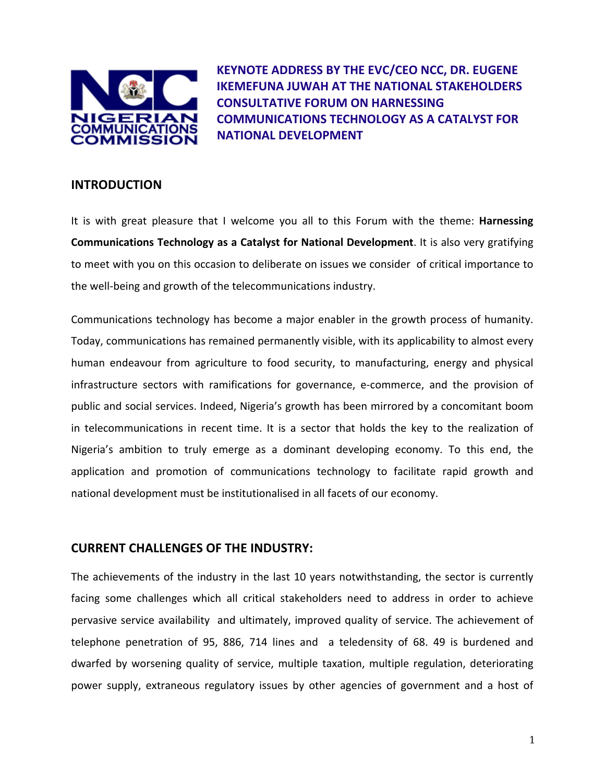

**KEYNOTE ADDRESS BY THE EVC/CEO NCC, DR. EUGENE IKEMEFUNA JUWAH AT THE NATIONAL STAKEHOLDERS CONSULTATIVE FORUM ON HARNESSING COMMUNICATIONS TECHNOLOGY AS A CATALYST FOR NATIONAL DEVELOPMENT**

## **INTRODUCTION**

It is with great pleasure that I welcome you all to this Forum with the theme: **Harnessing Communications Technology as a Catalyst for National Development**. It is also very gratifying to meet with you on this occasion to deliberate on issues we consider of critical importance to the well‐being and growth of the telecommunications industry.

Communications technology has become a major enabler in the growth process of humanity. Today, communications has remained permanently visible, with its applicability to almost every human endeavour from agriculture to food security, to manufacturing, energy and physical infrastructure sectors with ramifications for governance, e‐commerce, and the provision of public and social services. Indeed, Nigeria's growth has been mirrored by a concomitant boom in telecommunications in recent time. It is a sector that holds the key to the realization of Nigeria's ambition to truly emerge as a dominant developing economy. To this end, the application and promotion of communications technology to facilitate rapid growth and national development must be institutionalised in all facets of our economy.

## **CURRENT CHALLENGES OF THE INDUSTRY:**

The achievements of the industry in the last 10 years notwithstanding, the sector is currently facing some challenges which all critical stakeholders need to address in order to achieve pervasive service availability and ultimately, improved quality of service. The achievement of telephone penetration of 95, 886, 714 lines and a teledensity of 68. 49 is burdened and dwarfed by worsening quality of service, multiple taxation, multiple regulation, deteriorating power supply, extraneous regulatory issues by other agencies of government and a host of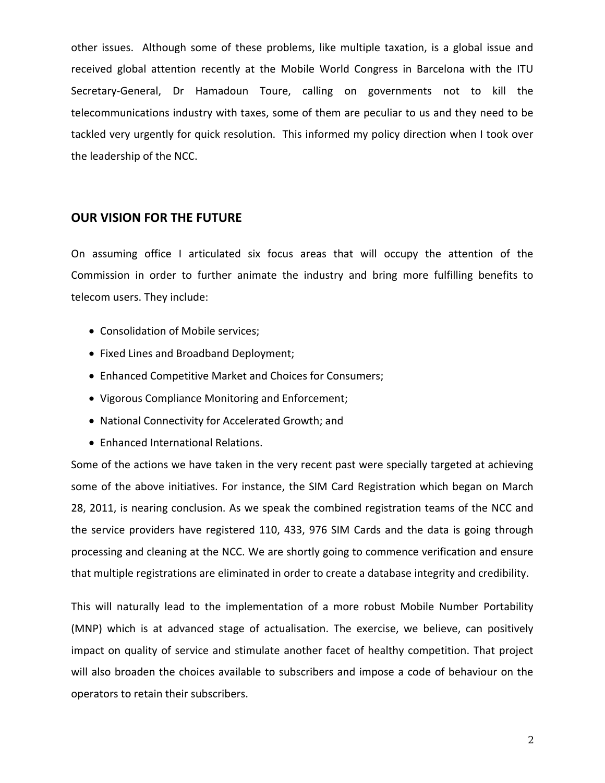other issues. Although some of these problems, like multiple taxation, is a global issue and received global attention recently at the Mobile World Congress in Barcelona with the ITU Secretary‐General, Dr Hamadoun Toure, calling on governments not to kill the telecommunications industry with taxes, some of them are peculiar to us and they need to be tackled very urgently for quick resolution. This informed my policy direction when I took over the leadership of the NCC.

## **OUR VISION FOR THE FUTURE**

On assuming office I articulated six focus areas that will occupy the attention of the Commission in order to further animate the industry and bring more fulfilling benefits to telecom users. They include:

- Consolidation of Mobile services;
- Fixed Lines and Broadband Deployment;
- Enhanced Competitive Market and Choices for Consumers;
- Vigorous Compliance Monitoring and Enforcement;
- National Connectivity for Accelerated Growth; and
- Enhanced International Relations.

Some of the actions we have taken in the very recent past were specially targeted at achieving some of the above initiatives. For instance, the SIM Card Registration which began on March 28, 2011, is nearing conclusion. As we speak the combined registration teams of the NCC and the service providers have registered 110, 433, 976 SIM Cards and the data is going through processing and cleaning at the NCC. We are shortly going to commence verification and ensure that multiple registrations are eliminated in order to create a database integrity and credibility.

This will naturally lead to the implementation of a more robust Mobile Number Portability (MNP) which is at advanced stage of actualisation. The exercise, we believe, can positively impact on quality of service and stimulate another facet of healthy competition. That project will also broaden the choices available to subscribers and impose a code of behaviour on the operators to retain their subscribers.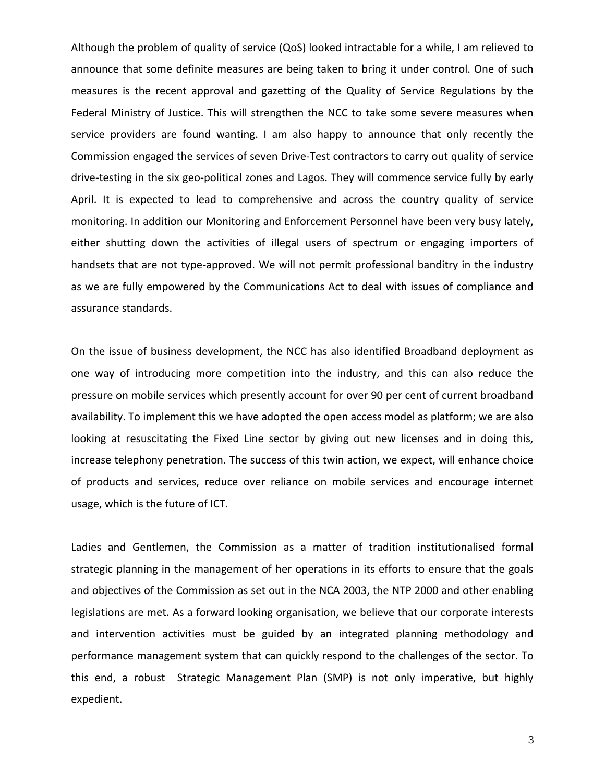Although the problem of quality of service (QoS) looked intractable for a while, I am relieved to announce that some definite measures are being taken to bring it under control. One of such measures is the recent approval and gazetting of the Quality of Service Regulations by the Federal Ministry of Justice. This will strengthen the NCC to take some severe measures when service providers are found wanting. I am also happy to announce that only recently the Commission engaged the services of seven Drive‐Test contractors to carry out quality of service drive‐testing in the six geo‐political zones and Lagos. They will commence service fully by early April. It is expected to lead to comprehensive and across the country quality of service monitoring. In addition our Monitoring and Enforcement Personnel have been very busy lately, either shutting down the activities of illegal users of spectrum or engaging importers of handsets that are not type-approved. We will not permit professional banditry in the industry as we are fully empowered by the Communications Act to deal with issues of compliance and assurance standards.

On the issue of business development, the NCC has also identified Broadband deployment as one way of introducing more competition into the industry, and this can also reduce the pressure on mobile services which presently account for over 90 per cent of current broadband availability. To implement this we have adopted the open access model as platform; we are also looking at resuscitating the Fixed Line sector by giving out new licenses and in doing this, increase telephony penetration. The success of this twin action, we expect, will enhance choice of products and services, reduce over reliance on mobile services and encourage internet usage, which is the future of ICT.

Ladies and Gentlemen, the Commission as a matter of tradition institutionalised formal strategic planning in the management of her operations in its efforts to ensure that the goals and objectives of the Commission as set out in the NCA 2003, the NTP 2000 and other enabling legislations are met. As a forward looking organisation, we believe that our corporate interests and intervention activities must be guided by an integrated planning methodology and performance management system that can quickly respond to the challenges of the sector. To this end, a robust Strategic Management Plan (SMP) is not only imperative, but highly expedient.

3